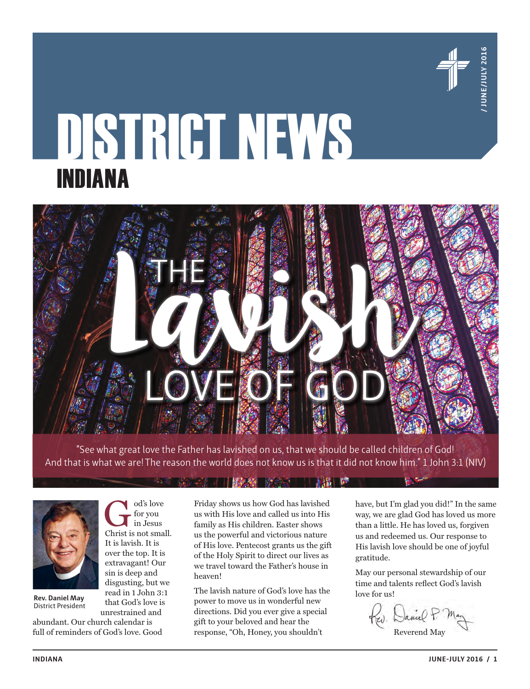

# DISTRICT NEWS INDIANA



"See what great love the Father has lavished on us, that we should be called children of God! And that is what we are! The reason the world does not know us is that it did not know him." 1 John 3:1 (NIV)



**Rev. Daniel May** District President

abundant. Our church calendar is full of reminders of God's love. Good

for you in Jesus

that God's love is unrestrained and

Friday shows us how God has lavished us with His love and called us into His family as His children. Easter shows us the powerful and victorious nature of His love. Pentecost grants us the gift of the Holy Spirit to direct our lives as we travel toward the Father's house in heaven!

The lavish nature of God's love has the power to move us in wonderful new directions. Did you ever give a special gift to your beloved and hear the response, "Oh, Honey, you shouldn't

have, but I'm glad you did!" In the same way, we are glad God has loved us more than a little. He has loved us, forgiven us and redeemed us. Our response to His lavish love should be one of joyful gratitude.

May our personal stewardship of our time and talents reflect God's lavish love for us!

Rev. Daniel P.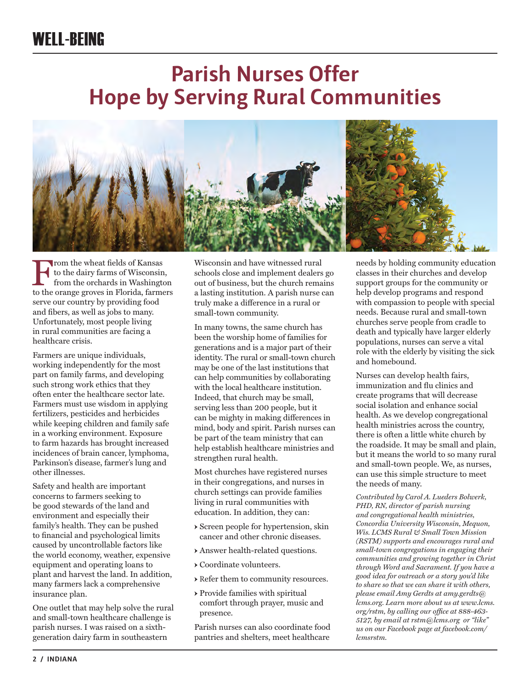### WELL-BEING

### **Parish Nurses Offer Hope by Serving Rural Communities**



From the wheat fields of Kansas<br>from the orchards in Washington<br>to the orange groves in Florida farme to the dairy farms of Wisconsin, from the orchards in Washington to the orange groves in Florida, farmers serve our country by providing food and fibers, as well as jobs to many. Unfortunately, most people living in rural communities are facing a healthcare crisis.

Farmers are unique individuals, working independently for the most part on family farms, and developing such strong work ethics that they often enter the healthcare sector late. Farmers must use wisdom in applying fertilizers, pesticides and herbicides while keeping children and family safe in a working environment. Exposure to farm hazards has brought increased incidences of brain cancer, lymphoma, Parkinson's disease, farmer's lung and other illnesses.

Safety and health are important concerns to farmers seeking to be good stewards of the land and environment and especially their family's health. They can be pushed to financial and psychological limits caused by uncontrollable factors like the world economy, weather, expensive equipment and operating loans to plant and harvest the land. In addition, many farmers lack a comprehensive insurance plan.

One outlet that may help solve the rural and small-town healthcare challenge is parish nurses. I was raised on a sixthgeneration dairy farm in southeastern

Wisconsin and have witnessed rural schools close and implement dealers go out of business, but the church remains a lasting institution. A parish nurse can truly make a difference in a rural or small-town community.

In many towns, the same church has been the worship home of families for generations and is a major part of their identity. The rural or small-town church may be one of the last institutions that can help communities by collaborating with the local healthcare institution. Indeed, that church may be small, serving less than 200 people, but it can be mighty in making differences in mind, body and spirit. Parish nurses can be part of the team ministry that can help establish healthcare ministries and strengthen rural health.

Most churches have registered nurses in their congregations, and nurses in church settings can provide families living in rural communities with education. In addition, they can:

- → Screen people for hypertension, skin cancer and other chronic diseases.
- → Answer health-related questions.
- → Coordinate volunteers.
- → Refer them to community resources.
- → Provide families with spiritual comfort through prayer, music and presence.

Parish nurses can also coordinate food pantries and shelters, meet healthcare

needs by holding community education classes in their churches and develop support groups for the community or help develop programs and respond with compassion to people with special needs. Because rural and small-town churches serve people from cradle to death and typically have larger elderly populations, nurses can serve a vital role with the elderly by visiting the sick and homebound.

Nurses can develop health fairs, immunization and flu clinics and create programs that will decrease social isolation and enhance social health. As we develop congregational health ministries across the country, there is often a little white church by the roadside. It may be small and plain, but it means the world to so many rural and small-town people. We, as nurses, can use this simple structure to meet the needs of many.

*Contributed by Carol A. Lueders Bolwerk, PHD, RN, director of parish nursing and congregational health ministries, Concordia University Wisconsin, Mequon, Wis. LCMS Rural & Small Town Mission (RSTM) supports and encourages rural and small-town congregations in engaging their communities and growing together in Christ through Word and Sacrament. If you have a good idea for outreach or a story you'd like to share so that we can share it with others, please email Amy Gerdts at amy.gerdts@ lcms.org. Learn more about us at www.lcms. org/rstm, by calling our office at 888-463- 5127, by email at rstm@lcms.org or "like" us on our Facebook page at facebook.com/ lcmsrstm.*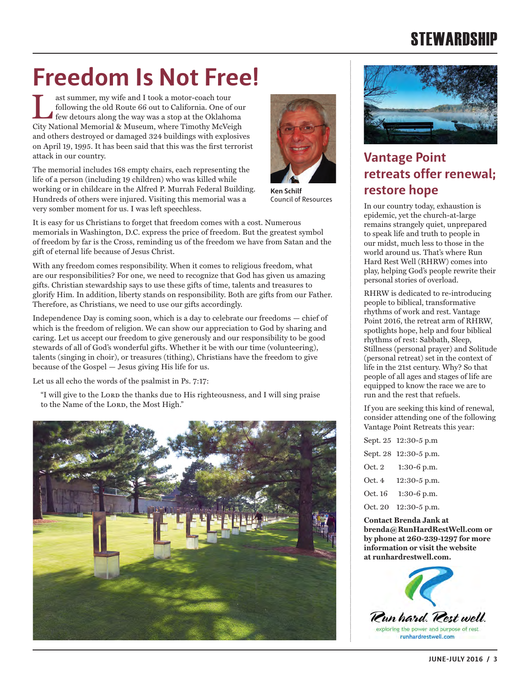### **STEWARDSHIP**

# **Freedom Is Not Free!**

ast summer, my wife and I took a motor-coach tour<br>following the old Route 66 out to California. One of our<br>few detours along the way was a stop at the Oklahoma<br>City National Momorial & Museum, where Timethy MaVaigh following the old Route 66 out to California. One of our City National Memorial & Museum, where Timothy McVeigh and others destroyed or damaged 324 buildings with explosives on April 19, 1995. It has been said that this was the first terrorist attack in our country.

The memorial includes 168 empty chairs, each representing the life of a person (including 19 children) who was killed while working or in childcare in the Alfred P. Murrah Federal Building. Hundreds of others were injured. Visiting this memorial was a very somber moment for us. I was left speechless.



**Ken Schilf** Council of Resources

It is easy for us Christians to forget that freedom comes with a cost. Numerous memorials in Washington, D.C. express the price of freedom. But the greatest symbol of freedom by far is the Cross, reminding us of the freedom we have from Satan and the gift of eternal life because of Jesus Christ.

With any freedom comes responsibility. When it comes to religious freedom, what are our responsibilities? For one, we need to recognize that God has given us amazing gifts. Christian stewardship says to use these gifts of time, talents and treasures to glorify Him. In addition, liberty stands on responsibility. Both are gifts from our Father. Therefore, as Christians, we need to use our gifts accordingly.

Independence Day is coming soon, which is a day to celebrate our freedoms — chief of which is the freedom of religion. We can show our appreciation to God by sharing and caring. Let us accept our freedom to give generously and our responsibility to be good stewards of all of God's wonderful gifts. Whether it be with our time (volunteering), talents (singing in choir), or treasures (tithing), Christians have the freedom to give because of the Gospel — Jesus giving His life for us.

Let us all echo the words of the psalmist in Ps. 7:17:

"I will give to the LORD the thanks due to His righteousness, and I will sing praise to the Name of the LORD, the Most High."





### **Vantage Point retreats offer renewal; restore hope**

In our country today, exhaustion is epidemic, yet the church-at-large remains strangely quiet, unprepared to speak life and truth to people in our midst, much less to those in the world around us. That's where Run Hard Rest Well (RHRW) comes into play, helping God's people rewrite their personal stories of overload.

RHRW is dedicated to re-introducing people to biblical, transformative rhythms of work and rest. Vantage Point 2016, the retreat arm of RHRW, spotlights hope, help and four biblical rhythms of rest: Sabbath, Sleep, Stillness (personal prayer) and Solitude (personal retreat) set in the context of life in the 21st century. Why? So that people of all ages and stages of life are equipped to know the race we are to run and the rest that refuels.

If you are seeking this kind of renewal, consider attending one of the following Vantage Point Retreats this year:

|         | Sept. 25 12:30-5 p.m  |
|---------|-----------------------|
|         | Sept. 28 12:30-5 p.m. |
| Oct. 2  | $1:30-6$ p.m.         |
| Oct. 4  | 12:30-5 p.m.          |
| Oct. 16 | $1:30-6$ p.m.         |
| Oct. 20 | $12:30-5$ p.m.        |

**Contact Brenda Jank at brenda@RunHardRestWell.com or by phone at 260-239-1297 for more information or visit the website at runhardrestwell.com.** 

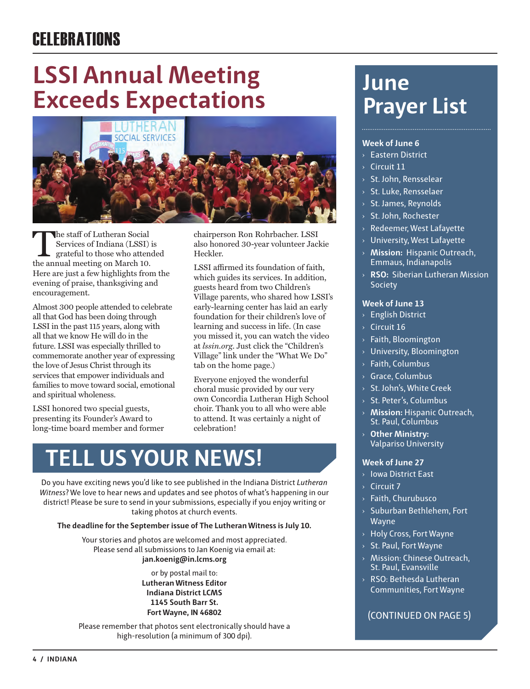## **LSSI Annual Meeting Exceeds Expectations**



The staff of Lutheran Social<br>
Services of Indiana (LSSI) is<br>
grateful to those who attended<br>
the annual meeting on March 10 Services of Indiana (LSSI) is the annual meeting on March 10. Here are just a few highlights from the evening of praise, thanksgiving and encouragement.

Almost 300 people attended to celebrate all that God has been doing through LSSI in the past 115 years, along with all that we know He will do in the future. LSSI was especially thrilled to commemorate another year of expressing the love of Jesus Christ through its services that empower individuals and families to move toward social, emotional and spiritual wholeness.

LSSI honored two special guests, presenting its Founder's Award to long-time board member and former chairperson Ron Rohrbacher. LSSI also honored 30-year volunteer Jackie Heckler.

LSSI affirmed its foundation of faith, which guides its services. In addition, guests heard from two Children's Village parents, who shared how LSSI's early-learning center has laid an early foundation for their children's love of learning and success in life. (In case you missed it, you can watch the video at *lssin.org*. Just click the "Children's Village" link under the "What We Do" tab on the home page.)

Everyone enjoyed the wonderful choral music provided by our very own Concordia Lutheran High School choir. Thank you to all who were able to attend. It was certainly a night of celebration!

## **TELL US YOUR NEWS!**

Do you have exciting news you'd like to see published in the Indiana District *Lutheran Witness*? We love to hear news and updates and see photos of what's happening in our district! Please be sure to send in your submissions, especially if you enjoy writing or taking photos at church events.

#### **The deadline for the September issue of The Lutheran Witness is July 10.**

Your stories and photos are welcomed and most appreciated. Please send all submissions to Jan Koenig via email at: **jan.koenig@in.lcms.org** 

> or by postal mail to: **Lutheran Witness Editor Indiana District LCMS 1145 South Barr St. Fort Wayne, IN 46802**

Please remember that photos sent electronically should have a high-resolution (a minimum of 300 dpi).

### **June Prayer List**

#### **Week of June 6**

- **Eastern District**
- $\rightarrow$  Circuit 11
- › St. John, Rensselear
- › St. Luke, Rensselaer
- › St. James, Reynolds
- › St. John, Rochester
- › Redeemer, West Lafayette
- › University, West Lafayette
- › **Mission:** Hispanic Outreach, Emmaus, Indianapolis
- › **RSO:** Siberian Lutheran Mission Society

#### **Week of June 13**

- › English District
- › Circuit 16
- › Faith, Bloomington
- › University, Bloomington
- › Faith, Columbus
- › Grace, Columbus
- › St. John's, White Creek
- › St. Peter's, Columbus
- › **Mission:** Hispanic Outreach, St. Paul, Columbus
- › **Other Ministry:** Valpariso University

#### **Week of June 27**

- › Iowa District East
- › Circuit 7
- › Faith, Churubusco
- › Suburban Bethlehem, Fort Wayne
- › Holy Cross, Fort Wayne
- › St. Paul, Fort Wayne
- › Mission: Chinese Outreach, St. Paul, Evansville
- › RSO: Bethesda Lutheran Communities, Fort Wayne

#### (CONTINUED ON PAGE 5)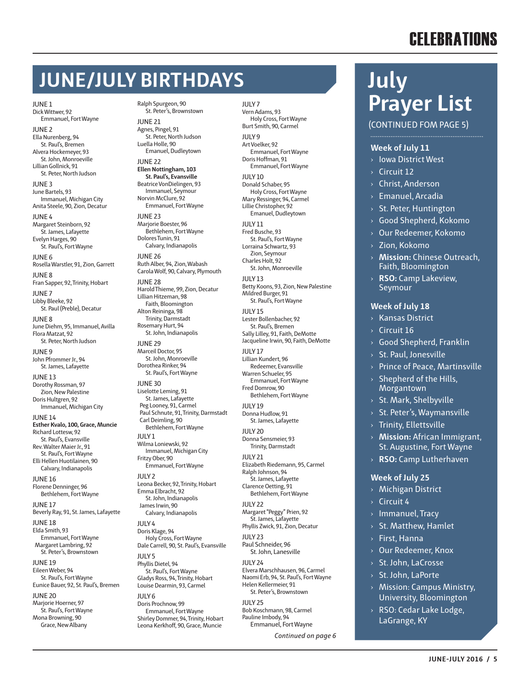### **JUNE/JULY BIRTHDAYS**

JUNE 1 Dick Wittwer, 92 Emmanuel, Fort Wayne

JUNE 2 Ella Nurenberg, 94 St. Paul's, Bremen Alvera Hockemeyer, 93 St. John, Monroeville Lillian Gollnick, 91 St. Peter, North Judson

JUNE 3 June Bartels, 93 Immanuel, Michigan City Anita Steele, 90, Zion, Decatur

JUNE 4 Margaret Steinborn, 92 St. James, Lafayette Evelyn Harges, 90 St. Paul's, Fort Wayne

JUNE 6 Rosella Warstler, 91, Zion, Garrett JUNE 8

Fran Sapper, 92, Trinity, Hobart JUNE 7 Libby Bleeke, 92 St. Paul (Preble), Decatur

JUNE 8 June Diehm, 95, Immanuel, Avilla Flora Matzat, 92 St. Peter, North Judson

JUNE 9 John Pfrommer Jr., 94 St. James, Lafayette

JUNE 13 Dorothy Rossman, 97 Zion, New Palestine Doris Hultgren, 92

Immanuel, Michigan City JUNE 14 **Esther Kvalo, 100, Grace, Muncie** Richard Lottesw, 92 St. Paul's, Evansville Rev. Walter Maier Jr., 91 St. Paul's, Fort Wayne Elli Hellen Huotilainen, 90 Calvary, Indianapolis

JUNE 16 Florene Denninger, 96 Bethlehem, Fort Wayne

JUNE 17 Beverly Ray, 91, St. James, Lafayette

JUNE 18 Elda Smith, 93 Emmanuel, Fort Wayne Margaret Lambring, 92 St. Peter's, Brownstown

JUNE 19 Eileen Weber, 94 St. Paul's, Fort Wayne Eunice Bauer, 92, St. Paul's, Bremen

JUNE 20 Marjorie Hoerner, 97 St. Paul's, Fort Wayne Mona Browning, 90 Grace, New Albany

Ralph Spurgeon, 90 St. Peter's, Brownstown JUNE 21

Agnes, Pingel, 91 St. Peter, North Judson Luella Holle, 90 Emanuel, Dudleytown

JUNE 22 **Ellen Nottingham, 103 St. Paul's, Evansville**

Beatrice VonDielingen, 93 Immanuel, Seymour Norvin McClure, 92 Emmanuel, Fort Wayne

JUNE 23 Mariorie Boester, 96 Bethlehem, Fort Wayne Dolores Tunin, 91

Calvary, Indianapolis JUNE 26 Ruth Alber, 94, Zion, Wabash

Carola Wolf, 90, Calvary, Plymouth JUNE 28 Harold Thieme, 99, Zion, Decatur

Lillian Hitzeman, 98 Faith, Bloomington Alton Reininga, 98 Trinity, Darmstadt Rosemary Hurt, 94 St. John, Indianapolis

JUNE 29 Marceil Doctor, 95 St. John, Monroeville Dorothea Rinker, 94

St. Paul's, Fort Wayne JUNE 30 Liselotte Leming, 91 St. James, Lafayette Peg Looney, 91, Carmel Paul Schnute, 91, Trinity, Darmstadt Carl Deimling, 90 Bethlehem, Fort Wayne  $IIIVI$ Wilma Loniewski, 92 Immanuel, Michigan City Fritzy Ober, 90 Emmanuel, Fort Wayne

 $IIIY2$ Leona Becker, 92, Trinity, Hobart Emma Elbracht, 92 St. John, Indianapolis James Irwin, 90

Calvary, Indianapolis  $IUIY4$ Doris Klage, 94 Holy Cross, Fort Wayne Dale Carrell, 90, St. Paul's, Evansville JULY 5 Phyllis Dietel, 94 St. Paul's, Fort Wayne Gladys Ross, 94, Trinity, Hobart Louise Dearmin, 93, Carmel

 $IIIY6$ Doris Prochnow, 99 Emmanuel, Fort Wayne Shirley Dommer, 94, Trinity, Hobart Leona Kerkhoff, 90, Grace, Muncie

JULY 7 Vern Adams, 93 Holy Cross, Fort Wayne Burt Smith, 90, Carmel JULY 9 Art Voelker, 92 Emmanuel, Fort Wayne Doris Hoffman, 91 Emmanuel, Fort Wayne JULY 10 Donald Schaber, 95 Holy Cross, Fort Wayne Mary Ressinger, 94, Carmel Lillie Christopher, 92 Emanuel, Dudleytown JULY 11 Fred Busche, 93 St. Paul's, Fort Wayne Lorraina Schwartz, 93 Zion, Seymour Charles Holt, 92 St. John, Monroeville  $IIIVI3$ Betty Koons, 93, Zion, New Palestine Mildred Burger, 91 St. Paul's, Fort Wayne JULY 15 Lester Bollenbacher, 92 St. Paul's, Bremen Sally Lilley, 91, Faith, DeMotte Jacqueline Irwin, 90, Faith, DeMotte JULY 17 Lillian Kundert, 96 Redeemer, Evansville Warren Schueler, 95 Emmanuel, Fort Wayne Fred Domrow, 90 Bethlehem, Fort Wayne JULY 19 Donna Hudlow, 91 St. James, Lafayette JULY 20 Donna Sensmeier, 93 Trinity, Darmstadt JULY 21 Elizabeth Riedemann, 95, Carmel Ralph Johnson, 94 St. James, Lafayette Clarence Oetting, 91 Bethlehem, Fort Wayne JULY 22 Margaret "Peggy" Prien, 92 St. James, Lafayette Phyllis Zwick, 91, Zion, Decatur JULY 23 Paul Schneider, 96 St. John, Lanesville JULY 24 Elvera Marschhausen, 96, Carmel Naomi Erb, 94, St. Paul's, Fort Wayne Helen Kellermeier, 91 St. Peter's, Brownstown JULY 25 Bob Koschmann, 98, Carmel Pauline Imbody, 94 Emmanuel, Fort Wayne

*Continued on page 6*

### **July Prayer List**

(CONTINUED FOM PAGE 5)

#### **Week of July 11**

- › Iowa District West
- $\rightarrow$  Circuit 12
- › Christ, Anderson
- › Emanuel, Arcadia
- › St. Peter, Huntington
- › Good Shepherd, Kokomo
- › Our Redeemer, Kokomo
- › Zion, Kokomo
- › **Mission:** Chinese Outreach, Faith, Bloomington
- › **RSO:** Camp Lakeview, Seymour

#### **Week of July 18**

- › Kansas District
- $\rightarrow$  Circuit 16
- › Good Shepherd, Franklin
- › St. Paul, Jonesville
- › Prince of Peace, Martinsville
- $>$  Shepherd of the Hills, Morgantown
- › St. Mark, Shelbyville
- › St. Peter's, Waymansville
- › Trinity, Ellettsville
- › **Mission:** African Immigrant, St. Augustine, Fort Wayne
- › **RSO:** Camp Lutherhaven

#### **Week of July 25**

- › Michigan District
- $\angle$  Circuit 4
- › Immanuel, Tracy
- › St. Matthew, Hamlet
- › First, Hanna
- › Our Redeemer, Knox
- › St. John, LaCrosse
- › St. John, LaPorte
- › Mission: Campus Ministry, University, Bloomington
- › RSO: Cedar Lake Lodge, LaGrange, KY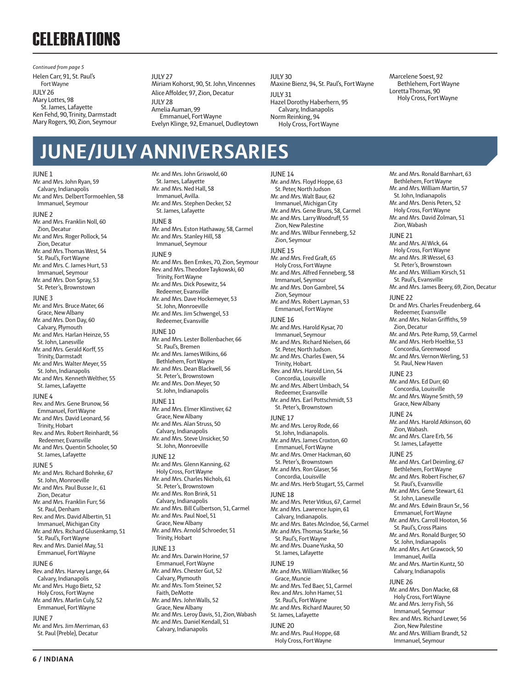Helen Carr, 91, St. Paul's Fort Wayne JULY 26 Mary Lottes, 98 St. James, Lafayette Ken Fehd, 90, Trinity, Darmstadt Mary Rogers, 90, Zion, Seymour *Continued from page 5*

JUNE 1

 $IIII V 27$ 

Miriam Kohorst, 90, St. John, Vincennes Alice Affolder, 97, Zion, Decatur JULY 28 Amelia Auman, 99 Emmanuel, Fort Wayne Evelyn Klinge, 92, Emanuel, Dudleytown

#### JULY 30 Maxine Bienz, 94, St. Paul's, Fort Wayne

JULY 31 Hazel Dorothy Haberhern, 95 Calvary, Indianapolis Norm Reinking, 94

Holy Cross, Fort Wayne

Marcelene Soest, 92 Bethlehem, Fort Wayne Loretta Thomas, 90 Holy Cross, Fort Wayne

### **JUNE/JULY ANNIVERSARIES**

#### Mr. and Mrs. John Ryan, 59 Calvary, Indianapolis Mr. and Mrs. Delbert Tormoehlen, 58 Immanuel, Seymour JUNE 2 Mr. and Mrs. Franklin Noll, 60 Zion, Decatur Mr. and Mrs. Roger Pollock, 54 Zion, Decatur Mr. and Mrs. Thomas West, 54 St. Paul's, Fort Wayne Mr. and Mrs. C. James Hurt, 53 Immanuel, Seymour Mr. and Mrs. Don Spray, 53 St. Peter's, Brownstown JUNE 3 Mr. and Mrs. Bruce Mater, 66 Grace, New Albany Mr. and Mrs. Don Day, 60 Calvary, Plymouth Mr. and Mrs. Harlan Heinze, 55 St. John, Lanesville Mr. and Mrs. Gerald Korff, 55 Trinity, Darmstadt Mr. and Mrs. Walter Meyer, 55 St. John, Indianapolis Mr. and Mrs. Kenneth Welther, 55 St. James, Lafayette JUNE 4 Rev. and Mrs. Gene Brunow, 56 Emmanuel, Fort Wayne Mr. and Mrs. David Leonard, 56

Trinity, Hobart Rev. and Mrs. Robert Reinhardt, 56 Redeemer, Evansville Mr. and Mrs. Quentin Schooler, 50 St. James, Lafayette JUNE 5

Mr. and Mrs. Richard Bohnke, 67 St. John, Monroeville Mr. and Mrs. Paul Busse Jr., 61 Zion, Decatur Mr. and Mrs. Franklin Furr, 56 St. Paul, Denham Rev. and Mrs. David Albertin, 51 Immanuel, Michigan City Mr. and Mrs. Richard Glusenkamp, 51 St. Paul's, Fort Wayne Rev. and Mrs. Daniel May, 51 Emmanuel, Fort Wayne JUNE 6 Rev. and Mrs. Harvey Lange, 64

Calvary, Indianapolis Mr. and Mrs. Hugo Bietz, 52 Holy Cross, Fort Wayne Mr. and Mrs. Marlin Culy, 52 Emmanuel, Fort Wayne

JUNE 7

Mr. and Mrs. Jim Merriman, 63 St. Paul (Preble), Decatur

Mr. and Mrs. John Griswold, 60 St. James, Lafayette Mr. and Mrs. Ned Hall, 58 Immanuel, Avilla. Mr. and Mrs. Stephen Decker, 52 St. James, Lafayette

#### JUNE 8

Mr. and Mrs. Eston Hathaway, 58, Carmel Mr. and Mrs. Stanley Hill, 58 Immanuel, Seymour

#### JUNE 9

Mr. and Mrs. Ben Emkes, 70, Zion, Seymour Rev. and Mrs. Theodore Taykowski, 60 Trinity, Fort Wayne Mr. and Mrs. Dick Posewitz, 54 Redeemer, Evansville Mr. and Mrs. Dave Hockemeyer, 53 St. John, Monroeville Mr. and Mrs. Jim Schwengel, 53 Redeemer, Evansville

#### JUNE 10

Mr. and Mrs. Lester Bollenbacher, 66 St. Paul's, Bremen Mr. and Mrs. James Wilkins, 66 Bethlehem, Fort Wayne Mr. and Mrs. Dean Blackwell, 56 St. Peter's, Brownstown Mr. and Mrs. Don Meyer, 50 St. John, Indianapolis

#### JUNE 11

Mr. and Mrs. Elmer Klinstiver, 62 Grace, New Albany Mr. and Mrs. Alan Struss, 50 Calvary, Indianapolis Mr. and Mrs. Steve Unsicker, 50 St. John, Monroeville

#### JUNE 12

Mr. and Mrs. Glenn Kanning, 62 Holy Cross, Fort Wayne Mr. and Mrs. Charles Nichols, 61 St. Peter's, Brownstown Mr. and Mrs. Ron Brink, 51 Calvary, Indianapolis Mr. and Mrs. Bill Culbertson, 51, Carmel Mr. and Mrs. Paul Noel, 51 Grace, New Albany Mr. and Mrs. Arnold Schroeder, 51 Trinity, Hobart JUNE 13 Mr. and Mrs. Darwin Horine, 57 Emmanuel, Fort Wayne Mr. and Mrs. Chester Gut, 52 Calvary, Plymouth Mr. and Mrs. Tom Steiner, 52 Faith, DeMotte Mr. and Mrs. John Walls, 52 Grace, New Albany Mr. and Mrs. Leroy Davis, 51, Zion, Wabash Mr. and Mrs. Daniel Kendall, 51 Calvary, Indianapolis

JUNE 14

Mr. and Mrs. Floyd Hoppe, 63 St. Peter, North Judson Mr. and Mrs. Walt Baur, 62 Immanuel, Michigan City Mr. and Mrs. Gene Bruns, 58, Carmel Mr. and Mrs. Larry Woodruff, 55 Zion, New Palestine Mr. and Mrs. Wilbur Fenneberg, 52 Zion, Seymour JUNE 15 Mr. and Mrs. Fred Graft, 65 Holy Cross, Fort Wayne Mr. and Mrs. Alfred Fenneberg, 58 Immanuel, Seymour Mr. and Mrs. Don Gambrel, 54 Zion, Seymour Mr. and Mrs. Robert Layman, 53 Emmanuel, Fort Wayne JUNE 16 Mr. and Mrs. Harold Kysar, 70 Immanuel, Seymour Mr. and Mrs. Richard Nielsen, 66 St. Peter, North Judson. Mr. and Mrs. Charles Ewen, 54 Trinity, Hobart. Rev. and Mrs. Harold Linn, 54 Concordia, Louisville Mr. and Mrs. Albert Umbach, 54 Redeemer, Evansville Mr. and Mrs. Earl Pottschmidt, 53 St. Peter's, Brownstown JUNE 17 Mr. and Mrs. Leroy Rode, 66 St. John, Indianapolis. Mr. and Mrs. James Croxton, 60 Emmanuel, Fort Wayne Mr. and Mrs. Omer Hackman, 60 St. Peter's, Brownstown Mr. and Mrs. Ron Glaser, 56 Concordia, Louisville Mr. and Mrs. Herb Stugart, 55, Carmel JUNE 18 Mr. and Mrs. Peter Vitkus, 67, Carmel Mr. and Mrs. Lawrence Jupin, 61 Calvary, Indianapolis. Mr. and Mrs. Bates McIndoe, 56, Carmel Mr. and Mrs. Thomas Starke, 56 St. Paul's, Fort Wayne Mr. and Mrs. Duane Yuska, 50 St. James, Lafayette JUNE 19 Mr. and Mrs. William Walker, 56 Grace, Muncie Mr. and Mrs. Ted Baer, 51, Carmel Rev. and Mrs. John Hamer, 51 St. Paul's, Fort Wayne Mr. and Mrs. Richard Maurer, 50 St. James, Lafayette

JUNE 20 Mr. and Mrs. Paul Hoppe, 68 Holy Cross, Fort Wayne

Mr. and Mrs. Ronald Barnhart, 63 Bethlehem, Fort Wayne Mr. and Mrs. William Martin, 57 St. John, Indianapolis Mr. and Mrs. Denis Peters, 52 Holy Cross, Fort Wayne Mr. and Mrs. David Zolman, 51 Zion, Wabash JUNE 21 Mr. and Mrs. Al Wick, 64 Holy Cross, Fort Wayne Mr. and Mrs. JR Wessel, 63 St. Peter's, Brownstown Mr. and Mrs. William Kirsch, 51 St. Paul's, Evansville Mr. and Mrs. James Beery, 69, Zion, Decatur JUNE 22 Dr. and Mrs. Charles Freudenberg, 64 Redeemer, Evansville Mr. and Mrs. Nolan Griffiths, 59 Zion, Decatur Mr. and Mrs. Pete Rump, 59, Carmel Mr. and Mrs. Herb Hoeltke, 53 Concordia, Greenwood Mr. and Mrs. Vernon Werling, 53 St. Paul, New Haven JUNE 23 Mr. and Mrs. Ed Durr, 60 Concordia, Louisville Mr. and Mrs. Wayne Smith, 59 Grace, New Albany JUNE 24 Mr. and Mrs. Harold Atkinson, 60 Zion, Wabash. Mr. and Mrs. Clare Erb, 56 St. James, Lafayette JUNE 25 Mr. and Mrs. Carl Deimling, 67 Bethlehem, Fort Wayne Mr. and Mrs. Robert Fischer, 67 St. Paul's, Evansville Mr. and Mrs. Gene Stewart, 61 St. John, Lanesville Mr. and Mrs. Edwin Braun Sr., 56 Emmanuel, Fort Wayne Mr. and Mrs. Carroll Hooton, 56 St. Paul's, Cross Plains Mr. and Mrs. Ronald Burger, 50 St. John, Indianapolis Mr. and Mrs. Art Grawcock, 50 Immanuel, Avilla Mr. and Mrs. Martin Kuntz, 50 Calvary, Indianapolis JUNE 26 Mr. and Mrs. Don Macke, 68 Holy Cross, Fort Wayne Mr. and Mrs. Jerry Fish, 56 Immanuel, Seymour Rev. and Mrs. Richard Lewer, 56 Zion, New Palestine Mr. and Mrs. William Brandt, 52 Immanuel, Seymour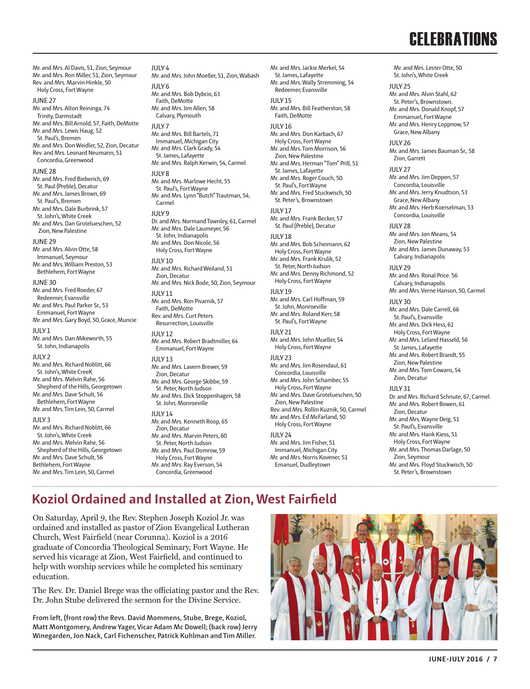Mr. and Mrs. Lester Otte, 50 St. John's, White Creek

JULY 25

Mr. and Mrs. Al Davis, 51, Zion, Seymour Mr. and Mrs. Ron Miller, 51, Zion, Seymour Rev. and Mrs. Marvin Hinkle, 50 Holy Cross, Fort Wayne JUNE 27 Mr. and Mrs. Alton Reininga, 74 Trinity, Darmstadt Mr. and Mrs. Bill Arnold, 57, Faith, DeMotte Mr. and Mrs. Lewis Haug, 52 St. Paul's, Bremen Mr. and Mrs. Don Weidler, 52, Zion, Decatur Rev. and Mrs. Leonard Neumann, 51 Concordia, Greenwood JUNE 28 Mr. and Mrs. Fred Bieberich, 69 St. Paul (Preble), Decatur Mr. and Mrs. James Brown, 69 St. Paul's, Bremen Mr. and Mrs. Dale Burbrink, 57 St. John's, White Creek Mr. and Mrs. Dan Grotelueschen, 52 Zion, New Palestine JUNE 29 Mr. and Mrs. Alvin Otte, 58 Immanuel, Seymour Mr. and Mrs. William Preston, 53 Bethlehem, Fort Wayne JUNE 30 Mr. and Mrs. Fred Roeder, 67 Redeemer, Evansville Mr. and Mrs. Paul Parker Sr., 53 Emmanuel, Fort Wayne Mr. and Mrs. Gary Boyd, 50, Grace, Muncie  $IIIIVI$ 

Mr. and Mrs. Dan Mikeworth, 55 St. John, Indianapolis JULY 2 Mr. and Mrs. Richard Noblitt, 66 St. John's, White CreeK Mr. and Mrs. Melvin Rahe, 56 Shepherd of the Hills, Georgetown Mr. and Mrs. Dave Schult, 56 Bethlehem, Fort Wayne Mr. and Mrs. Tim Lein, 50, Carmel  $IIIY3$ Mr. and Mrs. Richard Noblitt, 66 St. John's, White Creek Mr. and Mrs. Melvin Rahe, 56 Shepherd of the Hills, Georgetown Mr. and Mrs. Dave Schult, 56 Bethlehem, Fort Wayne Mr. and Mrs. Tim Lein, 50, Carmel

 $IIIIY4$ Mr. and Mrs. John Moeller, 51, Zion, Wabash JULY 6 Mr. and Mrs. Bob Dybcio, 63 Faith, DeMotte Mr. and Mrs. Jim Allen, 58 Calvary, Plymouth JULY 7 Mr. and Mrs. Bill Bartels, 71 Immanuel, Michigan City Mr. and Mrs. Clark Grady, 54 St. James, Lafayette Mr. and Mrs. Ralph Kerwin, 54, Carmel  $IIIIVQ$ Mr. and Mrs. Marlowe Hecht, 55 St. Paul's, Fort Wayne Mr. and Mrs. Lynn "Butch" Trautman, 54, Carmel JULY 9 Dr. and Mrs. Normand Townley, 61, Carmel Mr. and Mrs. Dale Laumeyer, 56 St. John, Indianapolis Mr. and Mrs. Don Nicole, 56 Holy Cross, Fort Wayne JULY 10 Mr. and Mrs. Richard Weiland, 51 Zion, Decatur Mr. and Mrs. Nick Bode, 50, Zion, Seymour JULY 11 Mr. and Mrs. Ron Pivarnik, 57 Faith, DeMotte Rev. and Mrs. Curt Peters Resurrection, Louisville  $IIIIVI2$ Mr. and Mrs. Robert Bradtmiller, 64 Emmanuel, Fort Wayne JULY 13 Mr. and Mrs. Lavern Brewer, 59 Zion, Decatur Mr. and Mrs. George Skibbe, 59 St. Peter, North Judson Mr. and Mrs. Dick Stoppenhagen, 58 St. John, Monroeville  $IIIIVI4$ Mr. and Mrs. Kenneth Roop, 65 Zion, Decatur Mr. and Mrs. Marvin Peters, 60 St. Peter, North Judson Mr. and Mrs. Paul Domrow, 59 Holy Cross, Fort Wayne Mr. and Mrs. Ray Everson, 54

Mr. and Mrs. Jackie Merkel, 54 St. James, Lafayette Mr. and Mrs. Wally Stremming, 54 Redeemer Evansville JULY 15 Mr. and Mrs. Bill Featherston, 58 Faith, DeMotte JULY 16 Mr. and Mrs. Don Karbach, 67 Holy Cross, Fort Wayne Mr. and Mrs. Tom Morrison, 56 Zion, New Palestine Mr. and Mrs. Herman "Tom" Prill, 51 St. James, Lafayette Mr. and Mrs. Roger Couch, 50 St. Paul's, Fort Wayne Mr. and Mrs. Fred Stuckwisch, 50 St. Peter's, Brownstown  $IIIIVI7$ Mr. and Mrs. Frank Becker, 57 St. Paul (Preble), Decatur JULY 18 Mr. and Mrs. Bob Scheimann, 62 Holy Cross, Fort Wayne Mr. and Mrs. Frank Krulik, 52 St. Peter, North Judson Mr. and Mrs. Denny Richmond, 52 Holy Cross, Fort Wayne JULY 19 Mr. and Mrs. Carl Hoffman, 59 St. John, Monroeville Mr. and Mrs. Roland Kerr, 58 St. Paul's, Fort Wayne  $IIIIV21$ Mr. and Mrs. John Mueller, 54 Holy Cross, Fort Wayne JULY 23 Mr. and Mrs. Jim Rosendaul, 61 Concordia, Louisville Mr. and Mrs. John Schamber, 55 Holy Cross, Fort Wayne Mr. and Mrs. Dave Grotelueschen, 50 Zion, New Palestine Rev. and Mrs. Rollin Kuznik, 50, Carmel Mr. and Mrs. Ed McFarland, 50 Holy Cross, Fort Wayne  $III V 24$ Mr. and Mrs. Jim Fisher, 51

#### Immanuel, Michigan City. Mr. and Mrs. Norris Kovener, 51 Emanuel, Dudleytown

Mr. and Mrs. Alvin Stahl, 62 St. Peter's, Brownstown. Mr. and Mrs. Donald Knopf, 57 Emmanuel, Fort Wayne Mr. and Mrs. Henry Loppnow, 57 Grace, New Albany JULY 26 Mr. and Mrs. James Bauman Sr., 58 Zion, Garrett  $IIII V 27$ Mr. and Mrs. Jim Deppen, 57 Concordia, Louisville Mr. and Mrs. Jerry Knudtson, 53 Grace, New Albany Mr. and Mrs. Herb Koerselman, 53 Concordia, Louisville  $IIII V 28$ Mr. and Mrs. Jon Means, 54 Zion, New Palestine Mr. and Mrs. James Dunaway, 53 Calvary, Indianapolis  $IIIIV29$ Mr. and Mrs. Ronal Price. 56 Calvary, Indianapolis Mr. and Mrs. Verne Hanson, 50, Carmel JULY 30 Mr. and Mrs. Dale Carrell, 66 St. Paul's, Evansville Mr. and Mrs. Dick Hess, 61 Holy Cross, Fort Wayne Mr. and Mrs. Leland Hasseld, 56 St. James, Lafayette Mr. and Mrs. Robert Brandt, 55 Zion, New Palestine Mr. and Mrs. Tom Cowans, 54 Zion, Decatur JULY 31 Dr. and Mrs. Richard Schnute, 67, Carmel Mr. and Mrs. Robert Bowen, 61 Zion, Decatur Mr. and Mrs. Wayne Deig, 51 St. Paul's, Evansville Mr. and Mrs. Hank Kiess, 51 Holy Cross, Fort Wayne Mr. and Mrs. Thomas Darlage, 50 Zion, Seymour Mr. and Mrs. Floyd Stuckwisch, 50

St. Peter's, Brownstown

### **Koziol Ordained and Installed at Zion, West Fairfield**

Concordia, Greenwood

On Saturday, April 9, the Rev. Stephen Joseph Koziol Jr. was ordained and installed as pastor of Zion Evangelical Lutheran Church, West Fairfield (near Corunna). Koziol is a 2016 graduate of Concordia Theological Seminary, Fort Wayne. He served his vicarage at Zion, West Fairfield, and continued to help with worship services while he completed his seminary education.

The Rev. Dr. Daniel Brege was the officiating pastor and the Rev. Dr. John Stube delivered the sermon for the Divine Service.

**From left, (front row) the Revs. David Mommens, Stube, Brege, Koziol, Matt Montgomery, Andrew Yager, Vicar Adam Mc Dowell; (back row) Jerry Winegarden, Jon Nack, Carl Fichenscher, Patrick Kuhlman and Tim Miller.**